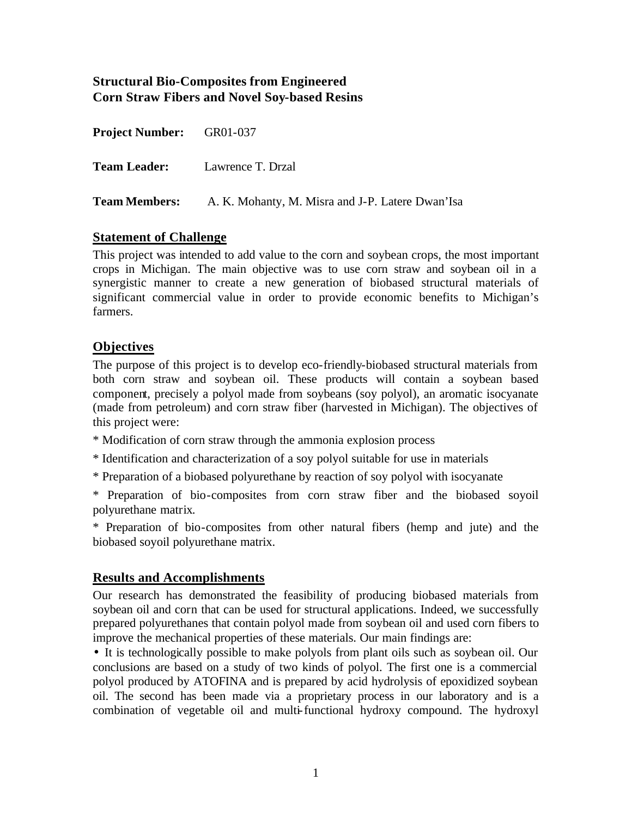## **Structural Bio-Composites from Engineered Corn Straw Fibers and Novel Soy-based Resins**

| <b>Project Number:</b> GR01-037 |                                                                       |
|---------------------------------|-----------------------------------------------------------------------|
|                                 | <b>Team Leader:</b> Lawrence T. Drzal                                 |
|                                 | <b>Team Members:</b> A. K. Mohanty, M. Misra and J-P. Latere Dwan'Isa |

#### **Statement of Challenge**

This project was intended to add value to the corn and soybean crops, the most important crops in Michigan. The main objective was to use corn straw and soybean oil in a synergistic manner to create a new generation of biobased structural materials of significant commercial value in order to provide economic benefits to Michigan's farmers.

# **Objectives**

The purpose of this project is to develop eco-friendly-biobased structural materials from both corn straw and soybean oil. These products will contain a soybean based component, precisely a polyol made from soybeans (soy polyol), an aromatic isocyanate (made from petroleum) and corn straw fiber (harvested in Michigan). The objectives of this project were:

\* Modification of corn straw through the ammonia explosion process

\* Identification and characterization of a soy polyol suitable for use in materials

\* Preparation of a biobased polyurethane by reaction of soy polyol with isocyanate

\* Preparation of bio-composites from corn straw fiber and the biobased soyoil polyurethane matrix.

\* Preparation of bio-composites from other natural fibers (hemp and jute) and the biobased soyoil polyurethane matrix.

## **Results and Accomplishments**

Our research has demonstrated the feasibility of producing biobased materials from soybean oil and corn that can be used for structural applications. Indeed, we successfully prepared polyurethanes that contain polyol made from soybean oil and used corn fibers to improve the mechanical properties of these materials. Our main findings are:

• It is technologically possible to make polyols from plant oils such as soybean oil. Our conclusions are based on a study of two kinds of polyol. The first one is a commercial polyol produced by ATOFINA and is prepared by acid hydrolysis of epoxidized soybean oil. The second has been made via a proprietary process in our laboratory and is a combination of vegetable oil and multi-functional hydroxy compound. The hydroxyl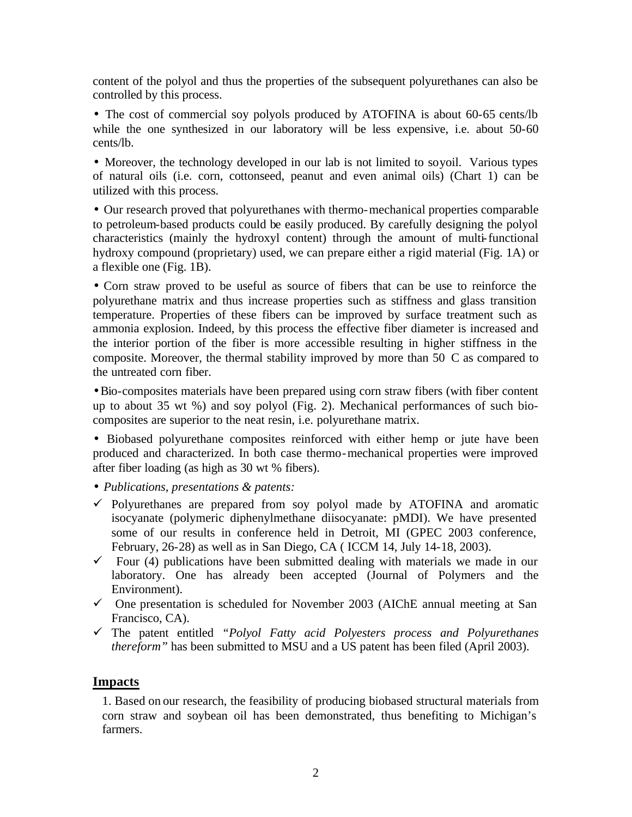content of the polyol and thus the properties of the subsequent polyurethanes can also be controlled by this process.

• The cost of commercial soy polyols produced by ATOFINA is about 60-65 cents/lb while the one synthesized in our laboratory will be less expensive, i.e. about 50-60 cents/lb.

• Moreover, the technology developed in our lab is not limited to soyoil. Various types of natural oils (i.e. corn, cottonseed, peanut and even animal oils) (Chart 1) can be utilized with this process.

• Our research proved that polyurethanes with thermo-mechanical properties comparable to petroleum-based products could be easily produced. By carefully designing the polyol characteristics (mainly the hydroxyl content) through the amount of multi-functional hydroxy compound (proprietary) used, we can prepare either a rigid material (Fig. 1A) or a flexible one (Fig. 1B).

• Corn straw proved to be useful as source of fibers that can be use to reinforce the polyurethane matrix and thus increase properties such as stiffness and glass transition temperature. Properties of these fibers can be improved by surface treatment such as ammonia explosion. Indeed, by this process the effective fiber diameter is increased and the interior portion of the fiber is more accessible resulting in higher stiffness in the composite. Moreover, the thermal stability improved by more than 50 C as compared to the untreated corn fiber.

•Bio-composites materials have been prepared using corn straw fibers (with fiber content up to about 35 wt %) and soy polyol (Fig. 2). Mechanical performances of such biocomposites are superior to the neat resin, i.e. polyurethane matrix.

• Biobased polyurethane composites reinforced with either hemp or jute have been produced and characterized. In both case thermo-mechanical properties were improved after fiber loading (as high as 30 wt % fibers).

- *Publications, presentations & patents:*
- $\checkmark$  Polyurethanes are prepared from soy polyol made by ATOFINA and aromatic isocyanate (polymeric diphenylmethane diisocyanate: pMDI). We have presented some of our results in conference held in Detroit, MI (GPEC 2003 conference, February, 26-28) as well as in San Diego, CA ( ICCM 14, July 14-18, 2003).
- $\checkmark$  Four (4) publications have been submitted dealing with materials we made in our laboratory. One has already been accepted (Journal of Polymers and the Environment).
- $\checkmark$  One presentation is scheduled for November 2003 (AIChE annual meeting at San Francisco, CA).
- ¸ The patent entitled *"Polyol Fatty acid Polyesters process and Polyurethanes thereform"* has been submitted to MSU and a US patent has been filed (April 2003).

#### **Impacts**

1. Based on our research, the feasibility of producing biobased structural materials from corn straw and soybean oil has been demonstrated, thus benefiting to Michigan's farmers.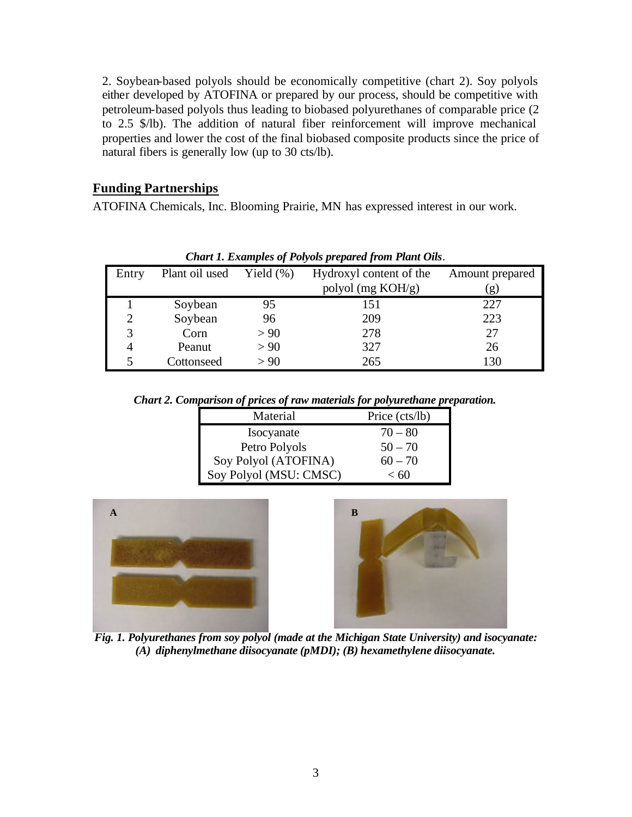2. Soybean-based polyols should be economically competitive (chart 2). Soy polyols either developed by ATOFINA or prepared by our process, should be competitive with petroleum-based polyols thus leading to biobased polyurethanes of comparable price (2 to 2.5 \$/lb). The addition of natural fiber reinforcement will improve mechanical properties and lower the cost of the final biobased composite products since the price of natural fibers is generally low (up to 30 cts/lb).

#### **Funding Partnerships**

ATOFINA Chemicals, Inc. Blooming Prairie, MN has expressed interest in our work.

| Chart 1. Examples of 1 oryots prepared from 1 and Ous. |                |               |                         |                 |  |  |
|--------------------------------------------------------|----------------|---------------|-------------------------|-----------------|--|--|
| Entry                                                  | Plant oil used | Yield $(\% )$ | Hydroxyl content of the | Amount prepared |  |  |
|                                                        |                |               | polyol (mg KOH/g)       | (g)             |  |  |
|                                                        | Soybean        | 95            | 151                     | 227             |  |  |
| 2                                                      | Soybean        | 96            | 209                     | 223             |  |  |
|                                                        | Corn           | > 90          | 278                     | 27              |  |  |
|                                                        | Peanut         | > 90          | 327                     | 26              |  |  |
|                                                        | Cottonseed     | > 90          | 265                     | 130             |  |  |

*Chart 1. Examples of Polyols prepared from Plant Oils.*

*Chart 2. Comparison of prices of raw materials for polyurethane preparation.*

| Material               | Price (cts/lb) |  |
|------------------------|----------------|--|
| Isocyanate             | $70 - 80$      |  |
| Petro Polyols          | $50 - 70$      |  |
| Soy Polyol (ATOFINA)   | $60 - 70$      |  |
| Soy Polyol (MSU: CMSC) | < 60           |  |





*Fig. 1. Polyurethanes from soy polyol (made at the Michigan State University) and isocyanate: (A) diphenylmethane diisocyanate (pMDI); (B) hexamethylene diisocyanate.*